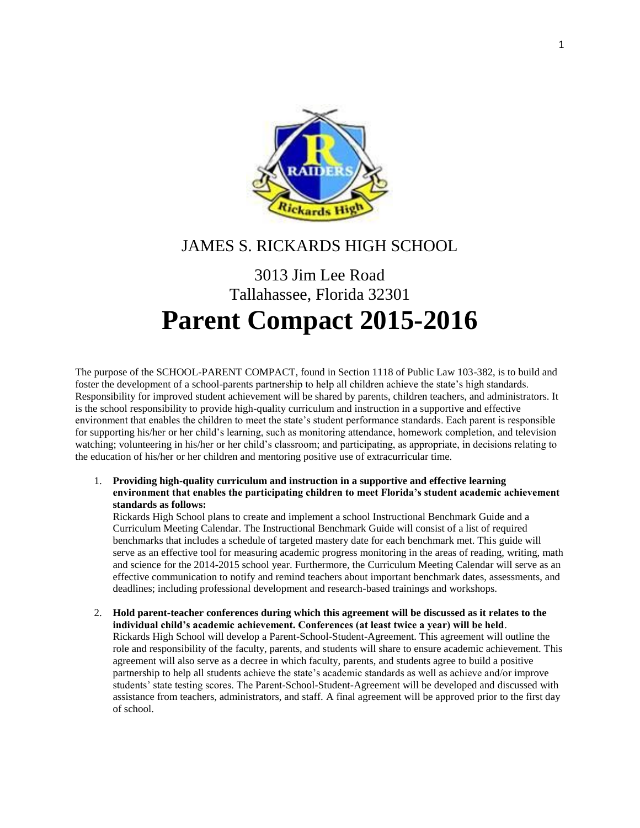

# JAMES S. RICKARDS HIGH SCHOOL

# 3013 Jim Lee Road Tallahassee, Florida 32301 **Parent Compact 2015-2016**

The purpose of the SCHOOL-PARENT COMPACT, found in Section 1118 of Public Law 103-382, is to build and foster the development of a school-parents partnership to help all children achieve the state's high standards. Responsibility for improved student achievement will be shared by parents, children teachers, and administrators. It is the school responsibility to provide high-quality curriculum and instruction in a supportive and effective environment that enables the children to meet the state's student performance standards. Each parent is responsible for supporting his/her or her child's learning, such as monitoring attendance, homework completion, and television watching; volunteering in his/her or her child's classroom; and participating, as appropriate, in decisions relating to the education of his/her or her children and mentoring positive use of extracurricular time.

1. **Providing high-quality curriculum and instruction in a supportive and effective learning environment that enables the participating children to meet Florida's student academic achievement standards as follows:**

Rickards High School plans to create and implement a school Instructional Benchmark Guide and a Curriculum Meeting Calendar. The Instructional Benchmark Guide will consist of a list of required benchmarks that includes a schedule of targeted mastery date for each benchmark met. This guide will serve as an effective tool for measuring academic progress monitoring in the areas of reading, writing, math and science for the 2014-2015 school year. Furthermore, the Curriculum Meeting Calendar will serve as an effective communication to notify and remind teachers about important benchmark dates, assessments, and deadlines; including professional development and research-based trainings and workshops.

2. **Hold parent-teacher conferences during which this agreement will be discussed as it relates to the individual child's academic achievement. Conferences (at least twice a year) will be held**. Rickards High School will develop a Parent-School-Student-Agreement. This agreement will outline the role and responsibility of the faculty, parents, and students will share to ensure academic achievement. This agreement will also serve as a decree in which faculty, parents, and students agree to build a positive partnership to help all students achieve the state's academic standards as well as achieve and/or improve students' state testing scores. The Parent-School-Student-Agreement will be developed and discussed with assistance from teachers, administrators, and staff. A final agreement will be approved prior to the first day of school.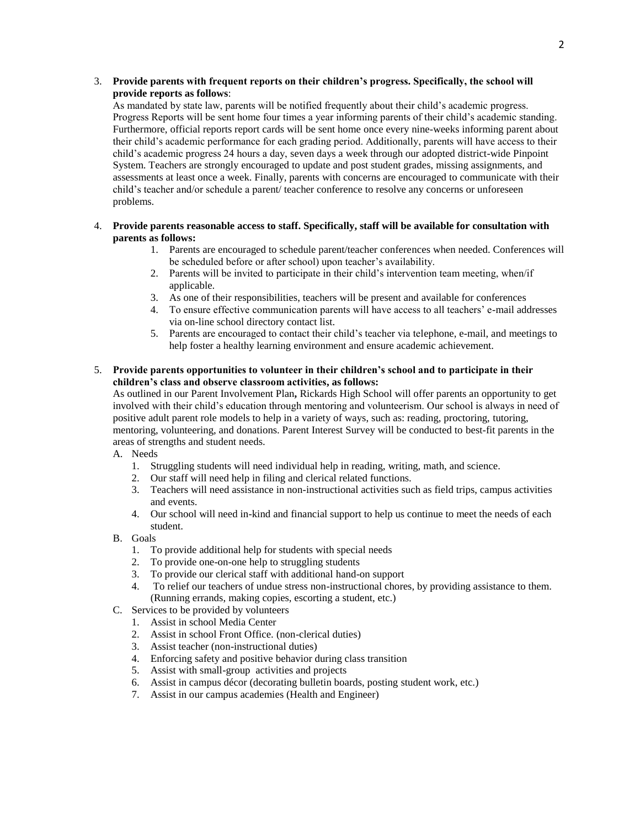#### 3. **Provide parents with frequent reports on their children's progress. Specifically, the school will provide reports as follows**:

As mandated by state law, parents will be notified frequently about their child's academic progress. Progress Reports will be sent home four times a year informing parents of their child's academic standing. Furthermore, official reports report cards will be sent home once every nine-weeks informing parent about their child's academic performance for each grading period. Additionally, parents will have access to their child's academic progress 24 hours a day, seven days a week through our adopted district-wide Pinpoint System. Teachers are strongly encouraged to update and post student grades, missing assignments, and assessments at least once a week. Finally, parents with concerns are encouraged to communicate with their child's teacher and/or schedule a parent/ teacher conference to resolve any concerns or unforeseen problems.

#### 4. **Provide parents reasonable access to staff. Specifically, staff will be available for consultation with parents as follows:**

- 1. Parents are encouraged to schedule parent/teacher conferences when needed. Conferences will be scheduled before or after school) upon teacher's availability.
- 2. Parents will be invited to participate in their child's intervention team meeting, when/if applicable.
- 3. As one of their responsibilities, teachers will be present and available for conferences
- 4. To ensure effective communication parents will have access to all teachers' e-mail addresses via on-line school directory contact list.
- 5. Parents are encouraged to contact their child's teacher via telephone, e-mail, and meetings to help foster a healthy learning environment and ensure academic achievement.

#### 5. **Provide parents opportunities to volunteer in their children's school and to participate in their children's class and observe classroom activities, as follows:**

As outlined in our Parent Involvement Plan**,** Rickards High School will offer parents an opportunity to get involved with their child's education through mentoring and volunteerism. Our school is always in need of positive adult parent role models to help in a variety of ways, such as: reading, proctoring, tutoring, mentoring, volunteering, and donations. Parent Interest Survey will be conducted to best-fit parents in the areas of strengths and student needs.

- A. Needs
	- 1. Struggling students will need individual help in reading, writing, math, and science.
	- 2. Our staff will need help in filing and clerical related functions.
	- 3. Teachers will need assistance in non-instructional activities such as field trips, campus activities and events.
	- 4. Our school will need in-kind and financial support to help us continue to meet the needs of each student.
- B. Goals
	- 1. To provide additional help for students with special needs
	- 2. To provide one-on-one help to struggling students
	- 3. To provide our clerical staff with additional hand-on support
	- 4. To relief our teachers of undue stress non-instructional chores, by providing assistance to them. (Running errands, making copies, escorting a student, etc.)
- C. Services to be provided by volunteers
	- 1. Assist in school Media Center
	- 2. Assist in school Front Office. (non-clerical duties)
	- 3. Assist teacher (non-instructional duties)
	- 4. Enforcing safety and positive behavior during class transition
	- 5. Assist with small-group activities and projects
	- 6. Assist in campus décor (decorating bulletin boards, posting student work, etc.)
	- 7. Assist in our campus academies (Health and Engineer)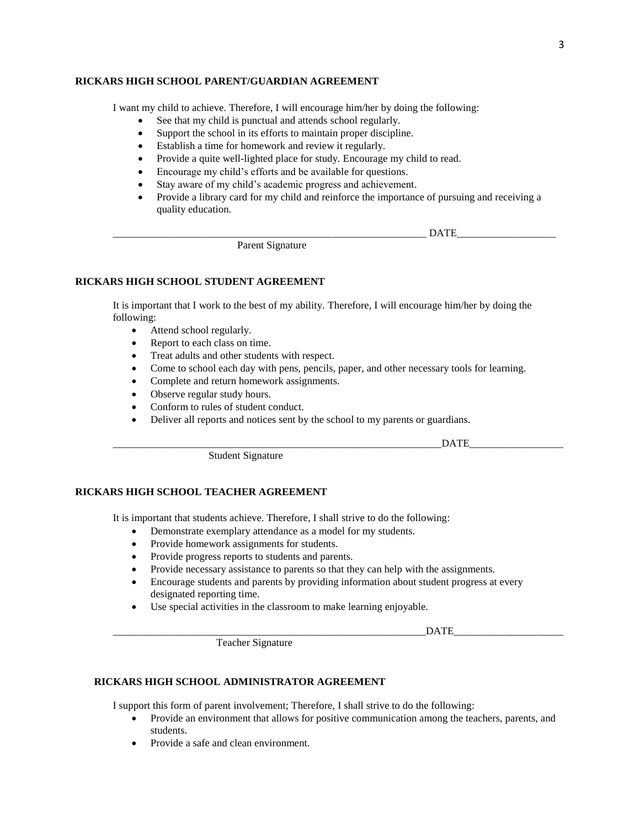#### **RICKARS HIGH SCHOOL PARENT/GUARDIAN AGREEMENT**

I want my child to achieve. Therefore, I will encourage him/her by doing the following:

- See that my child is punctual and attends school regularly.
- Support the school in its efforts to maintain proper discipline.
- Establish a time for homework and review it regularly.
- Provide a quite well-lighted place for study. Encourage my child to read.
- Encourage my child's efforts and be available for questions.
- Stay aware of my child's academic progress and achievement.
- Provide a library card for my child and reinforce the importance of pursuing and receiving a quality education.

Parent Signature

#### **RICKARS HIGH SCHOOL STUDENT AGREEMENT**

It is important that I work to the best of my ability. Therefore, I will encourage him/her by doing the following:

- Attend school regularly.
- Report to each class on time.
- Treat adults and other students with respect.
- Come to school each day with pens, pencils, paper, and other necessary tools for learning.
- Complete and return homework assignments.
- Observe regular study hours.
- Conform to rules of student conduct.
- Deliver all reports and notices sent by the school to my parents or guardians.

\_\_\_\_\_\_\_\_\_\_\_\_\_\_\_\_\_\_\_\_\_\_\_\_\_\_\_\_\_\_\_\_\_\_\_\_\_\_\_\_\_\_\_\_\_\_\_\_\_\_\_\_\_\_\_\_\_\_\_\_\_\_\_DATE\_\_\_\_\_\_\_\_\_\_\_\_\_\_\_\_\_\_

 $_{\rm {DATE}}$ 

Student Signature

#### **RICKARS HIGH SCHOOL TEACHER AGREEMENT**

It is important that students achieve. Therefore, I shall strive to do the following:

- Demonstrate exemplary attendance as a model for my students.
- Provide homework assignments for students.
- Provide progress reports to students and parents.
- Provide necessary assistance to parents so that they can help with the assignments.
- Encourage students and parents by providing information about student progress at every designated reporting time.
- Use special activities in the classroom to make learning enjoyable.

 $_{\rm {DATE}}$ 

Teacher Signature

#### **RICKARS HIGH SCHOOL ADMINISTRATOR AGREEMENT**

I support this form of parent involvement; Therefore, I shall strive to do the following:

- Provide an environment that allows for positive communication among the teachers, parents, and students.
- Provide a safe and clean environment.